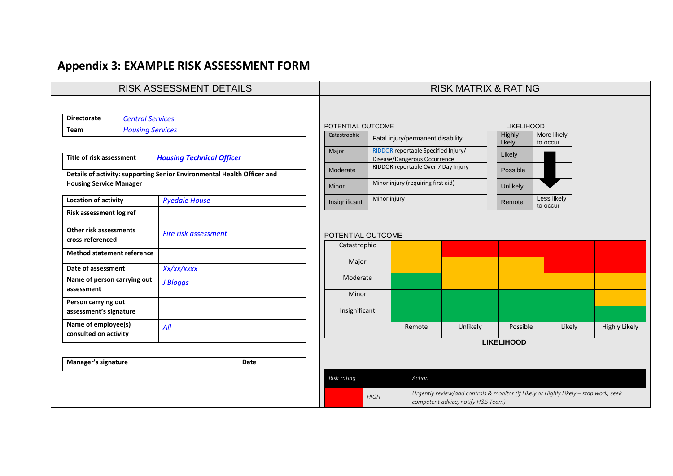## **Appendix 3: EXAMPLE RISK ASSESSMENT FORM**

| <b>RISK ASSESSMENT DETAILS</b>               |                                               |                                  |                                                                         |                                                                                                                                           | <b>RISK MATRIX &amp; RATING</b> |                                                                     |                   |                   |                         |                      |
|----------------------------------------------|-----------------------------------------------|----------------------------------|-------------------------------------------------------------------------|-------------------------------------------------------------------------------------------------------------------------------------------|---------------------------------|---------------------------------------------------------------------|-------------------|-------------------|-------------------------|----------------------|
|                                              |                                               |                                  |                                                                         |                                                                                                                                           |                                 |                                                                     |                   |                   |                         |                      |
|                                              | <b>Directorate</b><br><b>Central Services</b> |                                  |                                                                         | POTENTIAL OUTCOME                                                                                                                         |                                 |                                                                     |                   | <b>LIKELIHOOD</b> |                         |                      |
| Team                                         | <b>Housing Services</b>                       |                                  |                                                                         |                                                                                                                                           |                                 |                                                                     | Highly            | More likely       |                         |                      |
|                                              |                                               |                                  |                                                                         | Catastrophic                                                                                                                              |                                 | Fatal injury/permanent disability                                   |                   | likely            | to occur                |                      |
|                                              | Title of risk assessment                      |                                  |                                                                         |                                                                                                                                           |                                 | RIDDOR reportable Specified Injury/                                 |                   | Likely            |                         |                      |
|                                              |                                               | <b>Housing Technical Officer</b> |                                                                         | Moderate                                                                                                                                  |                                 | Disease/Dangerous Occurrence<br>RIDDOR reportable Over 7 Day Injury |                   |                   |                         |                      |
|                                              |                                               |                                  | Details of activity: supporting Senior Environmental Health Officer and |                                                                                                                                           |                                 |                                                                     |                   | Possible          |                         |                      |
| <b>Housing Service Manager</b>               |                                               |                                  |                                                                         | Minor injury (requiring first aid)<br>Minor                                                                                               |                                 | Unlikely                                                            |                   |                   |                         |                      |
| <b>Location of activity</b>                  |                                               | <b>Ryedale House</b>             |                                                                         | Insignificant                                                                                                                             | Minor injury                    |                                                                     |                   | Remote            | Less likely<br>to occur |                      |
| Risk assessment log ref                      |                                               |                                  |                                                                         |                                                                                                                                           |                                 |                                                                     |                   |                   |                         |                      |
| Other risk assessments                       |                                               | Fire risk assessment             |                                                                         | POTENTIAL OUTCOME                                                                                                                         |                                 |                                                                     |                   |                   |                         |                      |
| cross-referenced                             |                                               |                                  |                                                                         | Catastrophic                                                                                                                              |                                 |                                                                     |                   |                   |                         |                      |
| <b>Method statement reference</b>            |                                               |                                  |                                                                         |                                                                                                                                           |                                 |                                                                     |                   |                   |                         |                      |
| Date of assessment                           |                                               | Xx/xx/xxxx                       |                                                                         | Major                                                                                                                                     |                                 |                                                                     |                   |                   |                         |                      |
| Name of person carrying out                  |                                               | J Bloggs                         |                                                                         | Moderate                                                                                                                                  |                                 |                                                                     |                   |                   |                         |                      |
| assessment                                   |                                               |                                  |                                                                         | Minor                                                                                                                                     |                                 |                                                                     |                   |                   |                         |                      |
| Person carrying out                          |                                               |                                  |                                                                         |                                                                                                                                           |                                 |                                                                     |                   |                   |                         |                      |
| assessment's signature                       |                                               |                                  |                                                                         | Insignificant                                                                                                                             |                                 |                                                                     |                   |                   |                         |                      |
| Name of employee(s)<br>consulted on activity |                                               | All                              |                                                                         |                                                                                                                                           |                                 | Remote                                                              | Unlikely          | Possible          | Likely                  | <b>Highly Likely</b> |
|                                              |                                               |                                  |                                                                         |                                                                                                                                           |                                 |                                                                     | <b>LIKELIHOOD</b> |                   |                         |                      |
| Manager's signature                          |                                               |                                  | Date                                                                    |                                                                                                                                           |                                 |                                                                     |                   |                   |                         |                      |
|                                              |                                               |                                  |                                                                         | Risk rating                                                                                                                               |                                 | Action                                                              |                   |                   |                         |                      |
|                                              |                                               |                                  |                                                                         |                                                                                                                                           |                                 |                                                                     |                   |                   |                         |                      |
|                                              |                                               |                                  |                                                                         | Urgently review/add controls & monitor (if Likely or Highly Likely - stop work, seek<br><b>HIGH</b><br>competent advice, notify H&S Team) |                                 |                                                                     |                   |                   |                         |                      |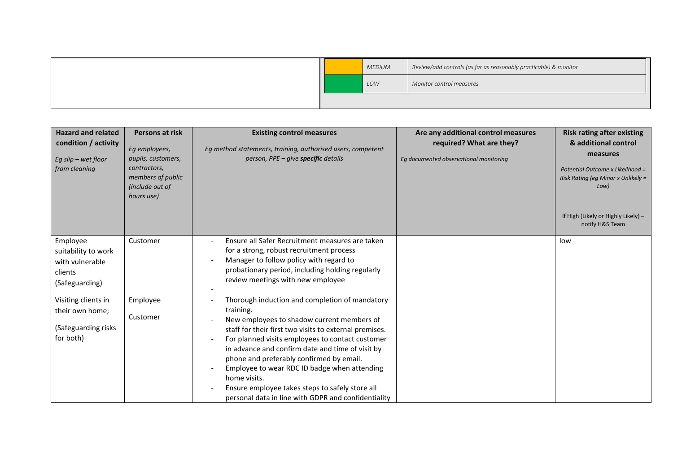|  | <b>MEDIUM</b> | Review/add controls (as far as reasonably practicable) & monitor |
|--|---------------|------------------------------------------------------------------|
|  | LOW           | Monitor control measures                                         |
|  |               |                                                                  |

| <b>Hazard and related</b><br>condition / activity<br>Eg slip $-$ wet floor<br>from cleaning | Persons at risk<br>Eg employees,<br>pupils, customers,<br>contractors,<br>members of public<br>(include out of<br>hours use) | <b>Existing control measures</b><br>Eg method statements, training, authorised users, competent<br>person, PPE - give specific details                                                                                                                                                                                                                                                                                                                                                            | Are any additional control measures<br>required? What are they?<br>Eq documented observational monitoring | <b>Risk rating after existing</b><br>& additional control<br>measures<br>Potential Outcome x Likelihood =<br>Risk Rating (eg Minor x Unlikely =<br>Low) |
|---------------------------------------------------------------------------------------------|------------------------------------------------------------------------------------------------------------------------------|---------------------------------------------------------------------------------------------------------------------------------------------------------------------------------------------------------------------------------------------------------------------------------------------------------------------------------------------------------------------------------------------------------------------------------------------------------------------------------------------------|-----------------------------------------------------------------------------------------------------------|---------------------------------------------------------------------------------------------------------------------------------------------------------|
|                                                                                             |                                                                                                                              |                                                                                                                                                                                                                                                                                                                                                                                                                                                                                                   |                                                                                                           | If High (Likely or Highly Likely) -<br>notify H&S Team                                                                                                  |
| Employee<br>suitability to work<br>with vulnerable<br>clients<br>(Safeguarding)             | Customer                                                                                                                     | Ensure all Safer Recruitment measures are taken<br>for a strong, robust recruitment process<br>Manager to follow policy with regard to<br>probationary period, including holding regularly<br>review meetings with new employee                                                                                                                                                                                                                                                                   |                                                                                                           | low                                                                                                                                                     |
| Visiting clients in<br>their own home;<br>(Safeguarding risks<br>for both)                  | Employee<br>Customer                                                                                                         | Thorough induction and completion of mandatory<br>training.<br>New employees to shadow current members of<br>staff for their first two visits to external premises.<br>For planned visits employees to contact customer<br>in advance and confirm date and time of visit by<br>phone and preferably confirmed by email.<br>Employee to wear RDC ID badge when attending<br>home visits.<br>Ensure employee takes steps to safely store all<br>personal data in line with GDPR and confidentiality |                                                                                                           |                                                                                                                                                         |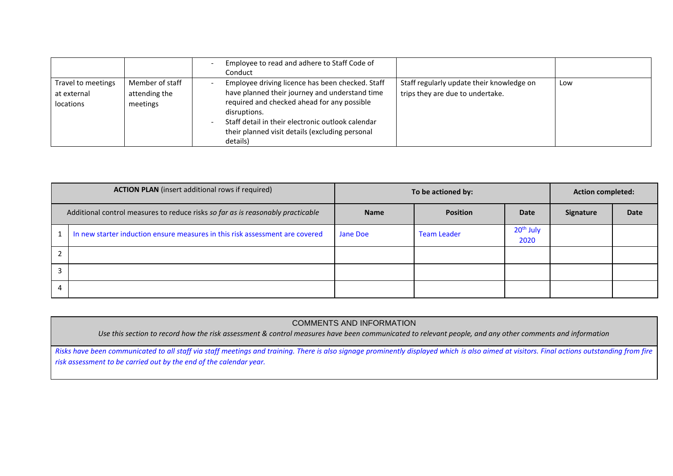|                                                |                                              | Employee to read and adhere to Staff Code of<br>Conduct                                                                                                                                                                                                                               |                                                                               |     |
|------------------------------------------------|----------------------------------------------|---------------------------------------------------------------------------------------------------------------------------------------------------------------------------------------------------------------------------------------------------------------------------------------|-------------------------------------------------------------------------------|-----|
| Travel to meetings<br>at external<br>locations | Member of staff<br>attending the<br>meetings | Employee driving licence has been checked. Staff<br>have planned their journey and understand time<br>required and checked ahead for any possible<br>disruptions.<br>Staff detail in their electronic outlook calendar<br>their planned visit details (excluding personal<br>details) | Staff regularly update their knowledge on<br>trips they are due to undertake. | Low |

| <b>ACTION PLAN</b> (insert additional rows if required)                         | To be actioned by: | <b>Action completed:</b> |                               |                  |      |
|---------------------------------------------------------------------------------|--------------------|--------------------------|-------------------------------|------------------|------|
| Additional control measures to reduce risks so far as is reasonably practicable | <b>Name</b>        | <b>Position</b>          | <b>Date</b>                   | <b>Signature</b> | Date |
| In new starter induction ensure measures in this risk assessment are covered    | Jane Doe           | <b>Team Leader</b>       | 20 <sup>th</sup> July<br>2020 |                  |      |
|                                                                                 |                    |                          |                               |                  |      |
|                                                                                 |                    |                          |                               |                  |      |
|                                                                                 |                    |                          |                               |                  |      |

## COMMENTS AND INFORMATION

*Use this section to record how the risk assessment & control measures have been communicated to relevant people, and any other comments and information*

*Risks have been communicated to all staff via staff meetings and training. There is also signage prominently displayed which is also aimed at visitors. Final actions outstanding from fire risk assessment to be carried out by the end of the calendar year.*